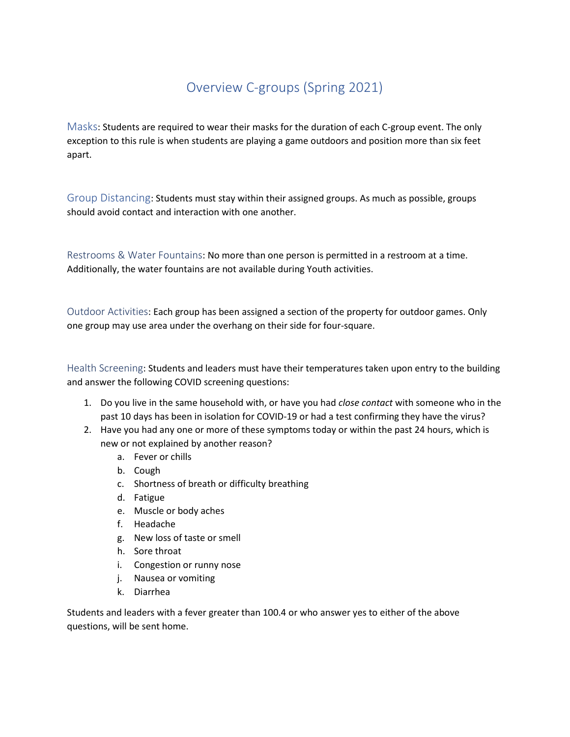## Overview C-groups (Spring 2021)

Masks: Students are required to wear their masks for the duration of each C-group event. The only exception to this rule is when students are playing a game outdoors and position more than six feet apart.

Group Distancing: Students must stay within their assigned groups. As much as possible, groups should avoid contact and interaction with one another.

Restrooms & Water Fountains: No more than one person is permitted in a restroom at a time. Additionally, the water fountains are not available during Youth activities.

Outdoor Activities: Each group has been assigned a section of the property for outdoor games. Only one group may use area under the overhang on their side for four-square.

Health Screening: Students and leaders must have their temperatures taken upon entry to the building and answer the following COVID screening questions:

- 1. Do you live in the same household with, or have you had *close contact* with someone who in the past 10 days has been in isolation for COVID-19 or had a test confirming they have the virus?
- 2. Have you had any one or more of these symptoms today or within the past 24 hours, which is new or not explained by another reason?
	- a. Fever or chills
	- b. Cough
	- c. Shortness of breath or difficulty breathing
	- d. Fatigue
	- e. Muscle or body aches
	- f. Headache
	- g. New loss of taste or smell
	- h. Sore throat
	- i. Congestion or runny nose
	- j. Nausea or vomiting
	- k. Diarrhea

Students and leaders with a fever greater than 100.4 or who answer yes to either of the above questions, will be sent home.